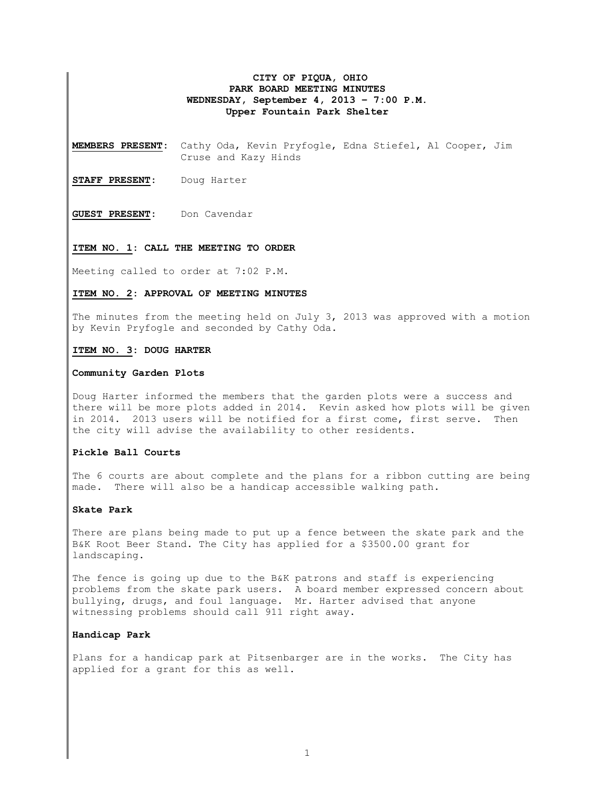# **CITY OF PIQUA, OHIO PARK BOARD MEETING MINUTES WEDNESDAY, September 4, 2013 – 7:00 P.M. Upper Fountain Park Shelter**

**MEMBERS PRESENT:** Cathy Oda, Kevin Pryfogle, Edna Stiefel, Al Cooper, Jim Cruse and Kazy Hinds

**STAFF PRESENT:** Doug Harter

**GUEST PRESENT:** Don Cavendar

#### **ITEM NO. 1: CALL THE MEETING TO ORDER**

Meeting called to order at 7:02 P.M.

## **ITEM NO. 2: APPROVAL OF MEETING MINUTES**

The minutes from the meeting held on July 3, 2013 was approved with a motion by Kevin Pryfogle and seconded by Cathy Oda.

#### **ITEM NO. 3: DOUG HARTER**

#### **Community Garden Plots**

Doug Harter informed the members that the garden plots were a success and there will be more plots added in 2014. Kevin asked how plots will be given in 2014. 2013 users will be notified for a first come, first serve. Then the city will advise the availability to other residents.

# **Pickle Ball Courts**

The 6 courts are about complete and the plans for a ribbon cutting are being made. There will also be a handicap accessible walking path.

# **Skate Park**

There are plans being made to put up a fence between the skate park and the B&K Root Beer Stand. The City has applied for a \$3500.00 grant for landscaping.

The fence is going up due to the B&K patrons and staff is experiencing problems from the skate park users. A board member expressed concern about bullying, drugs, and foul language. Mr. Harter advised that anyone witnessing problems should call 911 right away.

#### **Handicap Park**

Plans for a handicap park at Pitsenbarger are in the works. The City has applied for a grant for this as well.